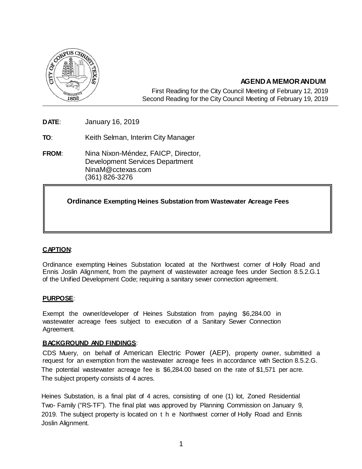

# **AGENDA MEMORANDUM**

First Reading for the City Council Meeting of February 12, 2019 Second Reading for the City Council Meeting of February 19, 2019

**DATE**: January 16, 2019

**TO**: Keith Selman, Interim City Manager

**FROM**: Nina Nixon-Méndez, FAICP, Director, Development Services Department [NinaM@cctexas.com](mailto:NinaM@cctexas.com) (361) 826-3276

# **Ordinance Exempting Heines Substation from Wastewater Acreage Fees**

### **CAPTION**:

Ordinance exempting Heines Substation located at the Northwest corner of Holly Road and Ennis Joslin Alignment, from the payment of wastewater acreage fees under Section 8.5.2.G.1 of the Unified Development Code; requiring a sanitary sewer connection agreement.

### **PURPOSE**:

Exempt the owner/developer of Heines Substation from paying \$6,284.00 in wastewater acreage fees subject to execution of a Sanitary Sewer Connection Agreement.

### **BACKGROUND AND FINDINGS**:

CDS Muery, on behalf of American Electric Power (AEP), property owner, submitted a request for an exemption from the wastewater acreage fees in accordance with Section 8.5.2.G. The potential wastewater acreage fee is \$6,284.00 based on the rate of \$1,571 per acre. The subject property consists of 4 acres.

Heines Substation, is a final plat of 4 acres, consisting of one (1) lot, Zoned Residential Two- Family ("RS-TF"). The final plat was approved by Planning Commission on January 9, 2019. The subject property is located on t h e Northwest corner of Holly Road and Ennis Joslin Alignment.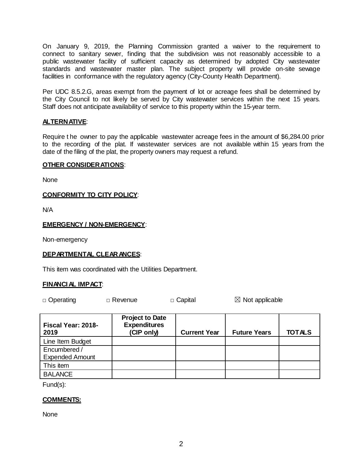On January 9, 2019, the Planning Commission granted a waiver to the requirement to connect to sanitary sewer, finding that the subdivision was not reasonably accessible to a public wastewater facility of sufficient capacity as determined by adopted City wastewater standards and wastewater master plan. The subject property will provide on-site sewage facilities in conformance with the regulatory agency (City-County Health Department).

Per UDC 8.5.2.G, areas exempt from the payment of lot or acreage fees shall be determined by the City Council to not likely be served by City wastewater services within the next 15 years. Staff does not anticipate availability of service to this property within the 15-year term.

# **ALTERNATIVE**:

Require t he owner to pay the applicable wastewater acreage fees in the amount of \$6,284.00 prior to the recording of the plat. If wastewater services are not available within 15 years from the date of the filing of the plat, the property owners may request a refund.

### **OTHER CONSIDERATIONS**:

None

### **CONFORMITY TO CITY POLICY**:

N/A

### **EMERGENCY / NON-EMERGENCY**:

Non-emergency

### **DEPARTMENTAL CLEARANCES**:

This item was coordinated with the Utilities Department.

### **FINANCIAL IMPACT**:

□ Operating □ Revenue □ Capital ■ △ Not applicable

| Fiscal Year: 2018-<br>2019 | <b>Project to Date</b><br><b>Expenditures</b><br>(CIP only) | <b>Current Year</b> | <b>Future Years</b> | <b>TOTALS</b> |
|----------------------------|-------------------------------------------------------------|---------------------|---------------------|---------------|
| Line Item Budget           |                                                             |                     |                     |               |
| Encumbered /               |                                                             |                     |                     |               |
| <b>Expended Amount</b>     |                                                             |                     |                     |               |
| This item                  |                                                             |                     |                     |               |
| <b>BALANCE</b>             |                                                             |                     |                     |               |

Fund(s):

### **COMMENTS:**

None